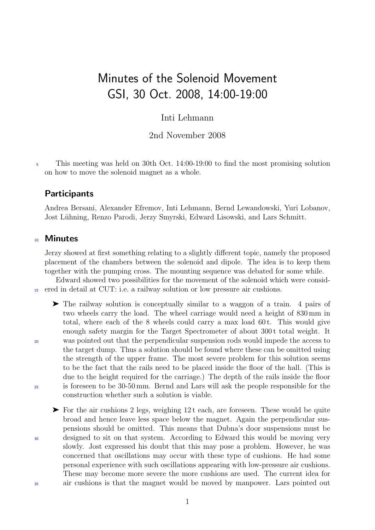## Minutes of the Solenoid Movement GSI, 30 Oct. 2008, 14:00-19:00

## Inti Lehmann

2nd November 2008

<sup>5</sup> This meeting was held on 30th Oct. 14:00-19:00 to find the most promising solution on how to move the solenoid magnet as a whole.

## Participants

Andrea Bersani, Alexander Efremov, Inti Lehmann, Bernd Lewandowski, Yuri Lobanov, Jost L¨uhning, Renzo Parodi, Jerzy Smyrski, Edward Lisowski, and Lars Schmitt.

## <sup>10</sup> Minutes

Jerzy showed at first something relating to a slightly different topic, namely the proposed placement of the chambers between the solenoid and dipole. The idea is to keep them together with the pumping cross. The mounting sequence was debated for some while.

Edward showed two possibilities for the movement of the solenoid which were consid-<sup>15</sup> ered in detail at CUT: i.e. a railway solution or low pressure air cushions.

- ➤ The railway solution is conceptually similar to a waggon of a train. 4 pairs of two wheels carry the load. The wheel carriage would need a height of 830 mm in total, where each of the 8 wheels could carry a max load 60 t. This would give enough safety margin for the Target Spectrometer of about 300 t total weight. It <sup>20</sup> was pointed out that the perpendicular suspension rods would impede the access to the target dump. Thus a solution should be found where these can be omitted using the strength of the upper frame. The most severe problem for this solution seems to be the fact that the rails need to be placed inside the floor of the hall. (This is due to the height required for the carriage.) The depth of the rails inside the floor <sup>25</sup> is foreseen to be 30-50 mm. Bernd and Lars will ask the people responsible for the construction whether such a solution is viable.
- ➤ For the air cushions 2 legs, weighing 12 t each, are foreseen. These would be quite broad and hence leave less space below the magnet. Again the perpendicular suspensions should be omitted. This means that Dubna's door suspensions must be <sup>30</sup> designed to sit on that system. According to Edward this would be moving very slowly. Jost expressed his doubt that this may pose a problem. However, he was concerned that oscillations may occur with these type of cushions. He had some personal experience with such oscillations appearing with low-pressure air cushions. These may become more severe the more cushions are used. The current idea for <sup>35</sup> air cushions is that the magnet would be moved by manpower. Lars pointed out